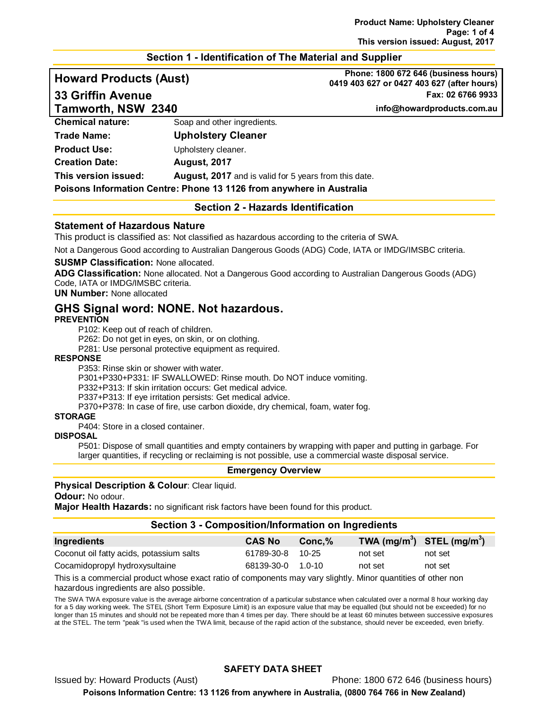#### **Section 1 - Identification of The Material and Supplier**

**Tamworth, NSW 2340 info@howardproducts.com.au**

**Howard Products (Aust) Phone: 1800 672 646 (business hours) 0419 403 627 or 0427 403 627 (after hours) 33 Griffin Avenue Fax: 02 6766 9933**

| <b>Chemical nature:</b> | Soap and other ingredients.                                          |  |
|-------------------------|----------------------------------------------------------------------|--|
| Trade Name:             | <b>Upholstery Cleaner</b>                                            |  |
| Product Use:            | Upholstery cleaner.                                                  |  |
| <b>Creation Date:</b>   | <b>August, 2017</b>                                                  |  |
| This version issued:    | <b>August, 2017</b> and is valid for 5 years from this date.         |  |
|                         | Poisons Information Centre: Phone 13 1126 from anywhere in Australia |  |

**Section 2 - Hazards Identification**

#### **Statement of Hazardous Nature**

This product is classified as: Not classified as hazardous according to the criteria of SWA.

Not a Dangerous Good according to Australian Dangerous Goods (ADG) Code, IATA or IMDG/IMSBC criteria.

#### **SUSMP Classification:** None allocated.

**ADG Classification:** None allocated. Not a Dangerous Good according to Australian Dangerous Goods (ADG) Code, IATA or IMDG/IMSBC criteria.

## **UN Number:** None allocated

# **GHS Signal word: NONE. Not hazardous.**

#### **PREVENTION**

P102: Keep out of reach of children.

P262: Do not get in eyes, on skin, or on clothing.

P281: Use personal protective equipment as required.

#### **RESPONSE**

P353: Rinse skin or shower with water.

P301+P330+P331: IF SWALLOWED: Rinse mouth. Do NOT induce vomiting.

P332+P313: If skin irritation occurs: Get medical advice.

P337+P313: If eye irritation persists: Get medical advice.

P370+P378: In case of fire, use carbon dioxide, dry chemical, foam, water fog.

## **STORAGE**

P404: Store in a closed container.

## **DISPOSAL**

P501: Dispose of small quantities and empty containers by wrapping with paper and putting in garbage. For larger quantities, if recycling or reclaiming is not possible, use a commercial waste disposal service.

#### **Emergency Overview**

#### **Physical Description & Colour: Clear liquid.**

**Odour:** No odour.

**Major Health Hazards:** no significant risk factors have been found for this product.

#### **Section 3 - Composition/Information on Ingredients**

| Ingredients                              | <b>CAS No</b>     | Conc.% | TWA $(mg/m^3)$ STEL $(mg/m^3)$ |         |
|------------------------------------------|-------------------|--------|--------------------------------|---------|
| Coconut oil fatty acids, potassium salts | 61789-30-8 10-25  |        | not set                        | not set |
| Cocamidopropyl hydroxysultaine           | 68139-30-0 1.0-10 |        | not set                        | not set |

This is a commercial product whose exact ratio of components may vary slightly. Minor quantities of other non hazardous ingredients are also possible.

The SWA TWA exposure value is the average airborne concentration of a particular substance when calculated over a normal 8 hour working day for a 5 day working week. The STEL (Short Term Exposure Limit) is an exposure value that may be equalled (but should not be exceeded) for no longer than 15 minutes and should not be repeated more than 4 times per day. There should be at least 60 minutes between successive exposures at the STEL. The term "peak "is used when the TWA limit, because of the rapid action of the substance, should never be exceeded, even briefly.

## **SAFETY DATA SHEET**

Issued by: Howard Products (Aust) Phone: 1800 672 646 (business hours)

**Poisons Information Centre: 13 1126 from anywhere in Australia, (0800 764 766 in New Zealand)**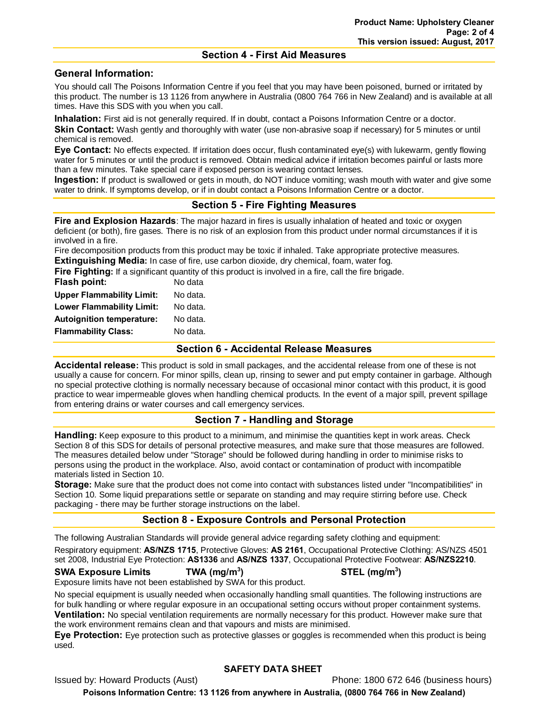#### **Section 4 - First Aid Measures**

## **General Information:**

You should call The Poisons Information Centre if you feel that you may have been poisoned, burned or irritated by this product. The number is 13 1126 from anywhere in Australia (0800 764 766 in New Zealand) and is available at all times. Have this SDS with you when you call.

**Inhalation:** First aid is not generally required. If in doubt, contact a Poisons Information Centre or a doctor. **Skin Contact:** Wash gently and thoroughly with water (use non-abrasive soap if necessary) for 5 minutes or until chemical is removed.

**Eye Contact:** No effects expected. If irritation does occur, flush contaminated eye(s) with lukewarm, gently flowing water for 5 minutes or until the product is removed. Obtain medical advice if irritation becomes painful or lasts more than a few minutes. Take special care if exposed person is wearing contact lenses.

**Ingestion:** If product is swallowed or gets in mouth, do NOT induce vomiting; wash mouth with water and give some water to drink. If symptoms develop, or if in doubt contact a Poisons Information Centre or a doctor.

## **Section 5 - Fire Fighting Measures**

**Fire and Explosion Hazards**: The major hazard in fires is usually inhalation of heated and toxic or oxygen deficient (or both), fire gases. There is no risk of an explosion from this product under normal circumstances if it is involved in a fire.

Fire decomposition products from this product may be toxic if inhaled. Take appropriate protective measures. **Extinguishing Media:** In case of fire, use carbon dioxide, dry chemical, foam, water fog.

**Fire Fighting:** If a significant quantity of this product is involved in a fire, call the fire brigade.

| No data  |
|----------|
| No data. |
| No data. |
| No data. |
| No data. |
|          |

## **Section 6 - Accidental Release Measures**

**Accidental release:** This product is sold in small packages, and the accidental release from one of these is not usually a cause for concern. For minor spills, clean up, rinsing to sewer and put empty container in garbage. Although no special protective clothing is normally necessary because of occasional minor contact with this product, it is good practice to wear impermeable gloves when handling chemical products. In the event of a major spill, prevent spillage from entering drains or water courses and call emergency services.

## **Section 7 - Handling and Storage**

**Handling:** Keep exposure to this product to a minimum, and minimise the quantities kept in work areas. Check Section 8 of this SDS for details of personal protective measures, and make sure that those measures are followed. The measures detailed below under "Storage" should be followed during handling in order to minimise risks to persons using the product in the workplace. Also, avoid contact or contamination of product with incompatible materials listed in Section 10.

**Storage:** Make sure that the product does not come into contact with substances listed under "Incompatibilities" in Section 10. Some liquid preparations settle or separate on standing and may require stirring before use. Check packaging - there may be further storage instructions on the label.

## **Section 8 - Exposure Controls and Personal Protection**

The following Australian Standards will provide general advice regarding safety clothing and equipment:

Respiratory equipment: **AS/NZS 1715**, Protective Gloves: **AS 2161**, Occupational Protective Clothing: AS/NZS 4501 set 2008, Industrial Eye Protection: **AS1336** and **AS/NZS 1337**, Occupational Protective Footwear: **AS/NZS2210**.

#### **SWA Exposure Limits TWA (mg/m3**

Exposure limits have not been established by SWA for this product.

No special equipment is usually needed when occasionally handling small quantities. The following instructions are for bulk handling or where regular exposure in an occupational setting occurs without proper containment systems. **Ventilation:** No special ventilation requirements are normally necessary for this product. However make sure that the work environment remains clean and that vapours and mists are minimised.

**Eye Protection:** Eye protection such as protective glasses or goggles is recommended when this product is being used.

#### **SAFETY DATA SHEET**

Issued by: Howard Products (Aust) **Phone: 1800 672 646 (business hours)** 

**Poisons Information Centre: 13 1126 from anywhere in Australia, (0800 764 766 in New Zealand)**

**) STEL (mg/m3 )**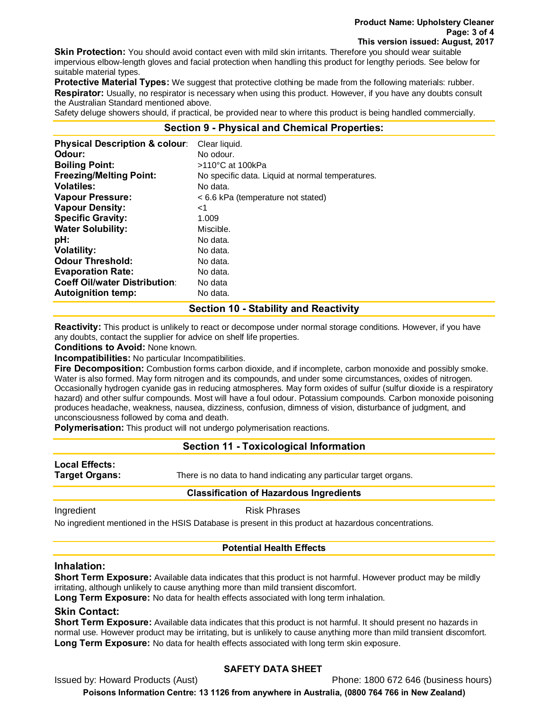**Skin Protection:** You should avoid contact even with mild skin irritants. Therefore you should wear suitable impervious elbow-length gloves and facial protection when handling this product for lengthy periods. See below for suitable material types.

**Protective Material Types:** We suggest that protective clothing be made from the following materials: rubber. **Respirator:** Usually, no respirator is necessary when using this product. However, if you have any doubts consult the Australian Standard mentioned above.

Safety deluge showers should, if practical, be provided near to where this product is being handled commercially.

## **Section 9 - Physical and Chemical Properties:**

| <b>Physical Description &amp; colour:</b> | Clear liquid.                                    |
|-------------------------------------------|--------------------------------------------------|
| Odour:                                    | No odour.                                        |
| <b>Boiling Point:</b>                     | >110°C at 100kPa                                 |
| <b>Freezing/Melting Point:</b>            | No specific data. Liquid at normal temperatures. |
| <b>Volatiles:</b>                         | No data.                                         |
| <b>Vapour Pressure:</b>                   | < 6.6 kPa (temperature not stated)               |
| <b>Vapour Density:</b>                    | ا>                                               |
| <b>Specific Gravity:</b>                  | 1.009                                            |
| <b>Water Solubility:</b>                  | Miscible.                                        |
| pH:                                       | No data.                                         |
| <b>Volatility:</b>                        | No data.                                         |
| <b>Odour Threshold:</b>                   | No data.                                         |
| <b>Evaporation Rate:</b>                  | No data.                                         |
| <b>Coeff Oil/water Distribution:</b>      | No data                                          |
| <b>Autoignition temp:</b>                 | No data.                                         |

#### **Section 10 - Stability and Reactivity**

**Reactivity:** This product is unlikely to react or decompose under normal storage conditions. However, if you have any doubts, contact the supplier for advice on shelf life properties.

**Conditions to Avoid:** None known.

**Incompatibilities:** No particular Incompatibilities.

**Fire Decomposition:** Combustion forms carbon dioxide, and if incomplete, carbon monoxide and possibly smoke. Water is also formed. May form nitrogen and its compounds, and under some circumstances, oxides of nitrogen. Occasionally hydrogen cyanide gas in reducing atmospheres. May form oxides of sulfur (sulfur dioxide is a respiratory hazard) and other sulfur compounds. Most will have a foul odour. Potassium compounds. Carbon monoxide poisoning produces headache, weakness, nausea, dizziness, confusion, dimness of vision, disturbance of judgment, and unconsciousness followed by coma and death.

**Polymerisation:** This product will not undergo polymerisation reactions.

## **Section 11 - Toxicological Information**

**Local Effects:** 

**Target Organs:** There is no data to hand indicating any particular target organs.

#### **Classification of Hazardous Ingredients**

Ingredient **Risk Phrases** 

No ingredient mentioned in the HSIS Database is present in this product at hazardous concentrations.

### **Potential Health Effects**

#### **Inhalation:**

**Short Term Exposure:** Available data indicates that this product is not harmful. However product may be mildly irritating, although unlikely to cause anything more than mild transient discomfort.

**Long Term Exposure:** No data for health effects associated with long term inhalation.

## **Skin Contact:**

**Short Term Exposure:** Available data indicates that this product is not harmful. It should present no hazards in normal use. However product may be irritating, but is unlikely to cause anything more than mild transient discomfort. **Long Term Exposure:** No data for health effects associated with long term skin exposure.

#### **SAFETY DATA SHEET**

Issued by: Howard Products (Aust) Phone: 1800 672 646 (business hours)

**Poisons Information Centre: 13 1126 from anywhere in Australia, (0800 764 766 in New Zealand)**